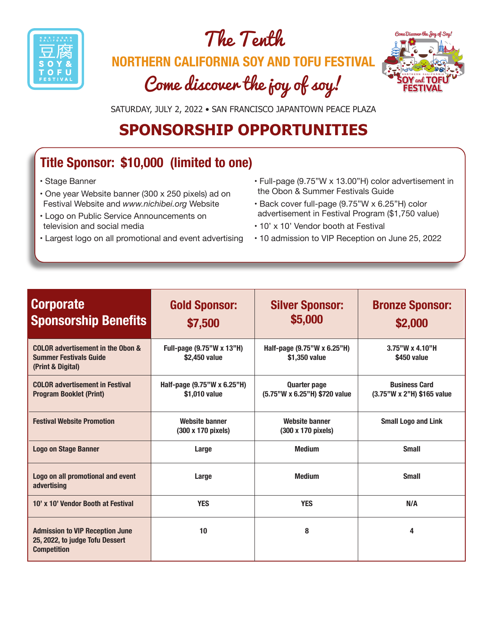





SATURDAY, JULY 2, 2022 • SAN FRANCISCO JAPANTOWN PEACE PLAZA

## **SPONSORSHIP OPPORTUNITIES**

## **Title Sponsor: \$10,000 (limited to one)**

- Stage Banner
- One year Website banner (300 x 250 pixels) ad on Festival Website and *www.nichibei.org* Website
- Logo on Public Service Announcements on television and social media
- Largest logo on all promotional and event advertising
- Full-page (9.75"W x 13.00"H) color advertisement in the Obon & Summer Festivals Guide
- Back cover full-page (9.75"W x 6.25"H) color advertisement in Festival Program (\$1,750 value)
- 10' x 10' Vendor booth at Festival
- 10 admission to VIP Reception on June 25, 2022

| <b>Corporate</b><br><b>Sponsorship Benefits</b>                                                 | <b>Gold Sponsor:</b><br>\$7,500              | <b>Silver Sponsor:</b><br>\$5,000                    | <b>Bronze Sponsor:</b><br>\$2,000                  |
|-------------------------------------------------------------------------------------------------|----------------------------------------------|------------------------------------------------------|----------------------------------------------------|
| COLOR advertisement in the Obon &<br><b>Summer Festivals Guide</b><br>(Print & Digital)         | Full-page (9.75"W x 13"H)<br>\$2,450 value   | Half-page (9.75"W x 6.25"H)<br>\$1,350 value         | $3.75$ "W x 4.10"H<br>\$450 value                  |
| <b>COLOR advertisement in Festival</b><br><b>Program Booklet (Print)</b>                        | Half-page (9.75"W x 6.25"H)<br>\$1,010 value | <b>Quarter page</b><br>(5.75"W x 6.25"H) \$720 value | <b>Business Card</b><br>(3.75"W x 2"H) \$165 value |
| <b>Festival Website Promotion</b>                                                               | <b>Website banner</b><br>(300 x 170 pixels)  | <b>Website banner</b><br>(300 x 170 pixels)          | <b>Small Logo and Link</b>                         |
| <b>Logo on Stage Banner</b>                                                                     | Large                                        | <b>Medium</b>                                        | <b>Small</b>                                       |
| Logo on all promotional and event<br>Large<br>advertising                                       |                                              | <b>Medium</b>                                        | <b>Small</b>                                       |
| 10' x 10' Vendor Booth at Festival                                                              | <b>YES</b>                                   | <b>YES</b>                                           | N/A                                                |
| <b>Admission to VIP Reception June</b><br>25, 2022, to judge Tofu Dessert<br><b>Competition</b> | 10                                           | 8                                                    | 4                                                  |